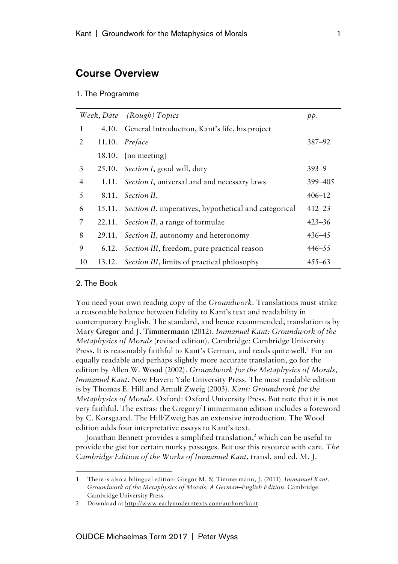# Course Overview

#### 1. The Programme

|    |        | Week, Date (Rough) Topics                             | pp.        |
|----|--------|-------------------------------------------------------|------------|
| 1  |        | 4.10. General Introduction, Kant's life, his project  |            |
| 2  |        | 11.10. Preface                                        | $387 - 92$ |
|    |        | 18.10. [no meeting]                                   |            |
| 3  |        | 25.10. Section I, good will, duty                     | $393 - 9$  |
| 4  | 1.11.  | <i>Section I</i> , universal and and necessary laws   | 399 - 405  |
| 5  | 8.11.  | Section II,                                           | $406 - 12$ |
| 6  | 15.11. | Section II, imperatives, hypothetical and categorical | $412 - 23$ |
| 7  | 22.11. | <i>Section II</i> , a range of formulae               | $423 - 36$ |
| 8  | 29.11. | Section II, autonomy and heteronomy                   | $436 - 45$ |
| 9  | 6.12.  | Section III, freedom, pure practical reason           | $446 - 55$ |
| 10 |        | 13.12. Section III, limits of practical philosophy    | $455 - 63$ |

### 2. The Book

 $\overline{a}$ 

You need your own reading copy of the *Groundwork*. Translations must strike a reasonable balance between fidelity to Kant's text and readability in contemporary English. The standard, and hence recommended, translation is by Mary **Gregor** and J. **Timmermann** (2012). *Immanuel Kant: Groundwork of the Metaphysics of Morals* (revised edition). Cambridge: Cambridge University Press. It is reasonably faithful to Kant's German, and reads quite well. <sup>1</sup> For an equally readable and perhaps slightly more accurate translation, go for the edition by Allen W. **Wood** (2002). *Groundwork for the Metaphysics of Morals, Immanuel Kant*. New Haven: Yale University Press. The most readable edition is by Thomas E. Hill and Arnulf Zweig (2003). *Kant: Groundwork for the Metaphysics of Morals*. Oxford: Oxford University Press. But note that it is not very faithful. The extras: the Gregory/Timmermann edition includes a foreword by C. Korsgaard. The Hill/Zweig has an extensive introduction. The Wood edition adds four interpretative essays to Kant's text.

Jonathan Bennett provides a simplified translation,<sup>2</sup> which can be useful to provide the gist for certain murky passages. But use this resource with care. *The Cambridge Edition of the Works of Immanuel Kant*, transl. and ed. M. J.

<sup>1</sup> There is also a bilingual edition: Gregor M. & Timmermann, J. (2011). *Immanuel Kant. Groundwork of the Metaphysics of Morals. A German–English Edition*. Cambridge: Cambridge University Press.

<sup>2</sup> Download at http://www.earlymoderntexts.com/authors/kant.